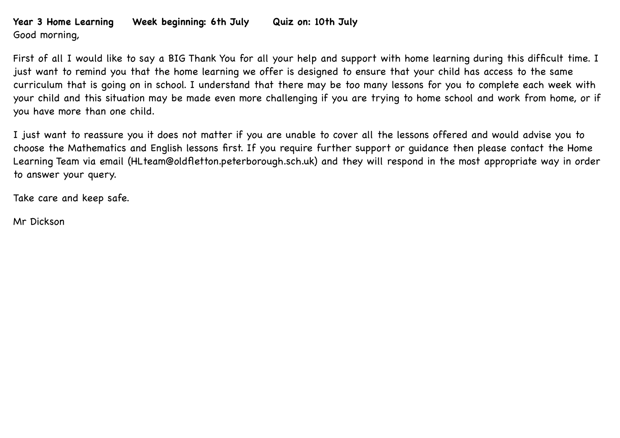## **Year 3 Home Learning Week beginning: 6th July Quiz on: 10th July** Good morning,

First of all I would like to say a BIG Thank You for all your help and support with home learning during this difficult time. I just want to remind you that the home learning we offer is designed to ensure that your child has access to the same curriculum that is going on in school. I understand that there may be too many lessons for you to complete each week with your child and this situation may be made even more challenging if you are trying to home school and work from home, or if you have more than one child.

I just want to reassure you it does not matter if you are unable to cover all the lessons offered and would advise you to choose the Mathematics and English lessons first. If you require further support or guidance then please contact the Home Learning Team via email (HLteam@oldfletton.peterborough.sch.uk) and they will respond in the most appropriate way in order to answer your query.

Take care and keep safe.

Mr Dickson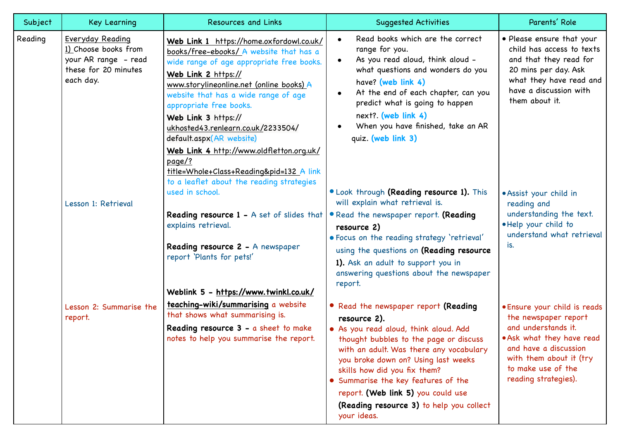| Subject | Key Learning                                                                                          | <b>Resources and Links</b>                                                                                                                                                                                                                                                                                                                                                                                                                                                                                     | <b>Suggested Activities</b>                                                                                                                                                                                                                                                                                                                                                                       | Parents' Role                                                                                                                                                                                             |
|---------|-------------------------------------------------------------------------------------------------------|----------------------------------------------------------------------------------------------------------------------------------------------------------------------------------------------------------------------------------------------------------------------------------------------------------------------------------------------------------------------------------------------------------------------------------------------------------------------------------------------------------------|---------------------------------------------------------------------------------------------------------------------------------------------------------------------------------------------------------------------------------------------------------------------------------------------------------------------------------------------------------------------------------------------------|-----------------------------------------------------------------------------------------------------------------------------------------------------------------------------------------------------------|
| Reading | Everyday Reading<br>1) Choose books from<br>your AR range - read<br>these for 20 minutes<br>each day. | Web Link 1 https://home.oxfordowl.co.uk/<br>books/free-ebooks/ A website that has a<br>wide range of age appropriate free books.<br>Web Link 2 https://<br>www.storylineonline.net (online books) A<br>website that has a wide range of age<br>appropriate free books.<br>Web Link 3 https://<br>ukhosted43.renlearn.co.uk/2233504/<br>default.aspx(AR website)<br>Web Link 4 http://www.oldfletton.org.uk/<br>page/?<br>title=Whole+Class+Reading&pid=132 A link<br>to a leaflet about the reading strategies | Read books which are the correct<br>range for you.<br>As you read aloud, think aloud -<br>$\bullet$<br>what questions and wonders do you<br>have? (web link 4)<br>At the end of each chapter, can you<br>predict what is going to happen<br>next?. (web link 4)<br>When you have finished, take an AR<br>quiz. (web link 3)                                                                       | • Please ensure that your<br>child has access to texts<br>and that they read for<br>20 mins per day. Ask<br>what they have read and<br>have a discussion with<br>them about it.                           |
|         | Lesson 1: Retrieval                                                                                   | used in school.<br>Reading resource 1 - A set of slides that                                                                                                                                                                                                                                                                                                                                                                                                                                                   | . Look through (Reading resource 1). This<br>will explain what retrieval is.<br>• Read the newspaper report. (Reading                                                                                                                                                                                                                                                                             | • Assist your child in<br>reading and<br>understanding the text.<br>. Help your child to<br>understand what retrieval<br>is.                                                                              |
|         |                                                                                                       | explains retrieval.<br>Reading resource 2 - A newspaper<br>report 'Plants for pets!'                                                                                                                                                                                                                                                                                                                                                                                                                           | resource 2)<br>. Focus on the reading strategy 'retrieval'<br>using the questions on (Reading resource<br>1). Ask an adult to support you in<br>answering questions about the newspaper<br>report.                                                                                                                                                                                                |                                                                                                                                                                                                           |
|         |                                                                                                       | Weblink 5 - https://www.twinkl.co.uk/                                                                                                                                                                                                                                                                                                                                                                                                                                                                          |                                                                                                                                                                                                                                                                                                                                                                                                   |                                                                                                                                                                                                           |
|         | Lesson 2: Summarise the<br>report.                                                                    | teaching-wiki/summarising a website<br>that shows what summarising is.<br>Reading resource 3 - a sheet to make<br>notes to help you summarise the report.                                                                                                                                                                                                                                                                                                                                                      | • Read the newspaper report (Reading<br>resource 2).<br>. As you read aloud, think aloud. Add<br>thought bubbles to the page or discuss<br>with an adult. Was there any vocabulary<br>you broke down on? Using last weeks<br>skills how did you fix them?<br>• Summarise the key features of the<br>report. (Web link 5) you could use<br>(Reading resource 3) to help you collect<br>your ideas. | . Ensure your child is reads<br>the newspaper report<br>and understands it.<br>.Ask what they have read<br>and have a discussion<br>with them about it (try<br>to make use of the<br>reading strategies). |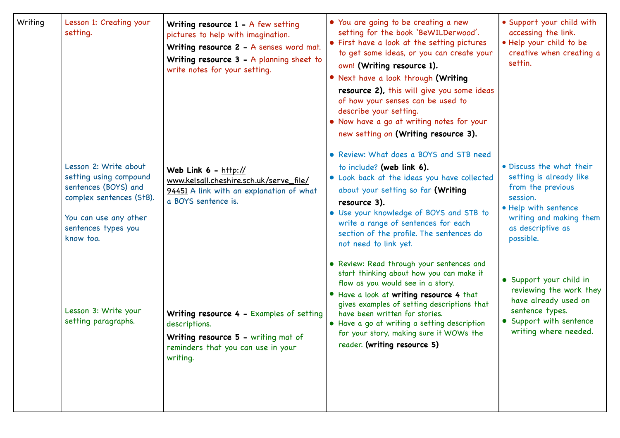| Writing | Lesson 1: Creating your<br>setting.                                                                                                                              | Writing resource $1 - A$ few setting<br>pictures to help with imagination.<br>Writing resource 2 - A senses word mat.<br>Writing resource $3 - A$ planning sheet to<br>write notes for your setting. | • You are going to be creating a new<br>setting for the book 'BeWILDerwood'.<br>• First have a look at the setting pictures<br>to get some ideas, or you can create your<br>own! (Writing resource 1).<br>• Next have a look through (Writing<br>resource 2), this will give you some ideas<br>of how your senses can be used to<br>describe your setting.<br>• Now have a go at writing notes for your<br>new setting on (Writing resource 3). | • Support your child with<br>accessing the link.<br>. Help your child to be<br>creative when creating a<br>settin.                                                        |
|---------|------------------------------------------------------------------------------------------------------------------------------------------------------------------|------------------------------------------------------------------------------------------------------------------------------------------------------------------------------------------------------|-------------------------------------------------------------------------------------------------------------------------------------------------------------------------------------------------------------------------------------------------------------------------------------------------------------------------------------------------------------------------------------------------------------------------------------------------|---------------------------------------------------------------------------------------------------------------------------------------------------------------------------|
|         | Lesson 2: Write about<br>setting using compound<br>sentences (BOYS) and<br>complex sentences (StB).<br>You can use any other<br>sentences types you<br>know too. | Web Link 6 - http://<br>www.kelsall.cheshire.sch.uk/serve_file/<br>94451 A link with an explanation of what<br>a BOYS sentence is.                                                                   | • Review: What does a BOYS and STB need<br>to include? (web link 6).<br>• Look back at the ideas you have collected<br>about your setting so far (Writing<br>resource 3).<br>• Use your knowledge of BOYS and STB to<br>write a range of sentences for each<br>section of the profile. The sentences do<br>not need to link yet.                                                                                                                | · Discuss the what their<br>setting is already like<br>from the previous<br>session.<br>• Help with sentence<br>writing and making them<br>as descriptive as<br>possible. |
|         | Lesson 3: Write your<br>setting paragraphs.                                                                                                                      | Writing resource 4 - Examples of setting<br>descriptions.<br>Writing resource 5 - writing mat of<br>reminders that you can use in your<br>writing.                                                   | • Review: Read through your sentences and<br>start thinking about how you can make it<br>flow as you would see in a story.<br>• Have a look at writing resource 4 that<br>gives examples of setting descriptions that<br>have been written for stories.<br>• Have a go at writing a setting description<br>for your story, making sure it WOWs the<br>reader. (writing resource 5)                                                              | • Support your child in<br>reviewing the work they<br>have already used on<br>sentence types.<br>• Support with sentence<br>writing where needed.                         |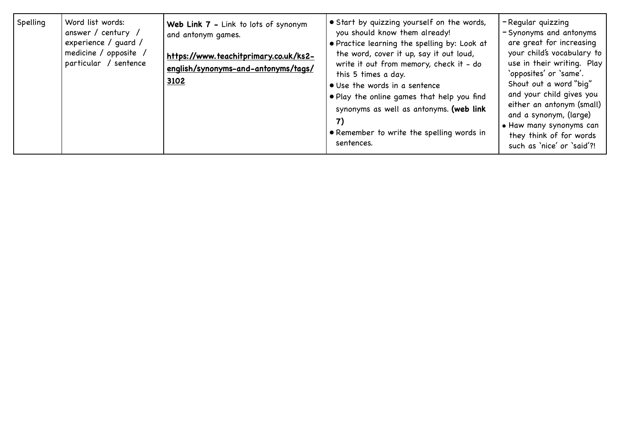| Spelling | Word list words:<br>answer / century /<br>experience / quard /<br>medicine / opposite /<br>particular / sentence | Web Link 7 - Link to lots of synonym<br>and antonym games.<br>https://www.teachitprimary.co.uk/ks2-<br>english/synonyms-and-antonyms/tags/<br>3102 | • Start by quizzing yourself on the words,<br>you should know them already!<br>• Practice learning the spelling by: Look at<br>the word, cover it up, say it out loud,<br>write it out from memory, check it - do<br>this 5 times a day.<br>• Use the words in a sentence<br>. Play the online games that help you find<br>synonyms as well as antonyms. (web link<br>• Remember to write the spelling words in<br>sentences. | -Regular quizzing<br>- Synonyms and antonyms<br>are great for increasing<br>your child's vocabulary to<br>use in their writing. Play<br>'opposites' or 'same'.<br>Shout out a word "big"<br>and your child gives you<br>either an antonym (small)<br>and a synonym, (large)<br>• Haw many synonyms can<br>they think of for words<br>such as 'nice' or 'said'?! |
|----------|------------------------------------------------------------------------------------------------------------------|----------------------------------------------------------------------------------------------------------------------------------------------------|-------------------------------------------------------------------------------------------------------------------------------------------------------------------------------------------------------------------------------------------------------------------------------------------------------------------------------------------------------------------------------------------------------------------------------|-----------------------------------------------------------------------------------------------------------------------------------------------------------------------------------------------------------------------------------------------------------------------------------------------------------------------------------------------------------------|
|----------|------------------------------------------------------------------------------------------------------------------|----------------------------------------------------------------------------------------------------------------------------------------------------|-------------------------------------------------------------------------------------------------------------------------------------------------------------------------------------------------------------------------------------------------------------------------------------------------------------------------------------------------------------------------------------------------------------------------------|-----------------------------------------------------------------------------------------------------------------------------------------------------------------------------------------------------------------------------------------------------------------------------------------------------------------------------------------------------------------|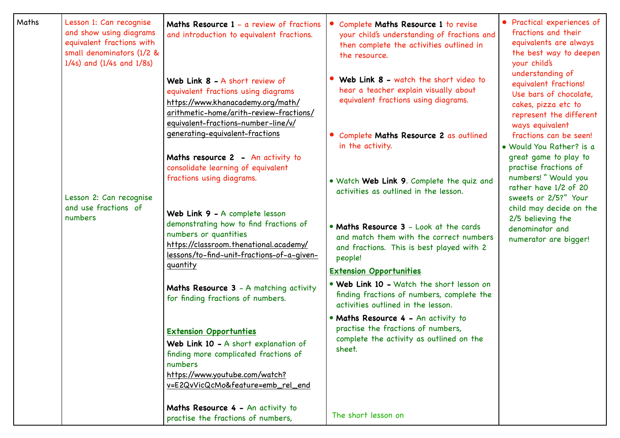| Maths | Lesson 1: Can recognise<br>and show using diagrams<br>equivalent fractions with<br>small denominators (1/2 &<br>$1/4s$ ) and $(1/4s$ and $1/8s)$<br>Lesson 2: Can recognise<br>and use fractions of<br>numbers | Maths Resource 1 - a review of fractions<br>and introduction to equivalent fractions.                                                                                                                                                                                                                         | Complete Maths Resource 1 to revise<br>your child's understanding of fractions and<br>then complete the activities outlined in<br>the resource.                                                                                                     | • Practical experiences of<br>fractions and their<br>equivalents are always<br>the best way to deepen<br>your child's<br>understanding of<br>equivalent fractions!<br>Use bars of chocolate,<br>cakes, pizza etc to<br>represent the different<br>ways equivalent<br>fractions can be seen!<br>· Would You Rather? is a<br>great game to play to<br>practise fractions of<br>numbers! " Would you<br>rather have 1/2 of 20<br>sweets or 2/5?" Your<br>child may decide on the<br>2/5 believing the<br>denominator and<br>numerator are bigger! |
|-------|----------------------------------------------------------------------------------------------------------------------------------------------------------------------------------------------------------------|---------------------------------------------------------------------------------------------------------------------------------------------------------------------------------------------------------------------------------------------------------------------------------------------------------------|-----------------------------------------------------------------------------------------------------------------------------------------------------------------------------------------------------------------------------------------------------|------------------------------------------------------------------------------------------------------------------------------------------------------------------------------------------------------------------------------------------------------------------------------------------------------------------------------------------------------------------------------------------------------------------------------------------------------------------------------------------------------------------------------------------------|
|       |                                                                                                                                                                                                                | Web Link 8 - A short review of<br>equivalent fractions using diagrams<br>https://www.khanacademy.org/math/<br>arithmetic-home/arith-review-fractions/<br>equivalent-fractions-number-line/v/<br>generating-equivalent-fractions                                                                               | Web Link 8 - watch the short video to<br>hear a teacher explain visually about<br>equivalent fractions using diagrams.<br>• Complete Maths Resource 2 as outlined                                                                                   |                                                                                                                                                                                                                                                                                                                                                                                                                                                                                                                                                |
|       |                                                                                                                                                                                                                | Maths resource 2 - An activity to<br>consolidate learning of equivalent<br>fractions using diagrams.<br>Web Link 9 - A complete lesson<br>demonstrating how to find fractions of<br>numbers or quantities<br>https://classroom.thenational.academy/<br>lessons/to-find-unit-fractions-of-a-given-<br>quantity | in the activity.<br>. Watch Web Link 9. Complete the quiz and<br>activities as outlined in the lesson.<br>• Maths Resource 3 - Look at the cards<br>and match them with the correct numbers<br>and fractions. This is best played with 2<br>people! |                                                                                                                                                                                                                                                                                                                                                                                                                                                                                                                                                |
|       |                                                                                                                                                                                                                | Maths Resource 3 - A matching activity<br>for finding fractions of numbers.                                                                                                                                                                                                                                   | <b>Extension Opportunities</b><br>• Web Link 10 - Watch the short lesson on<br>finding fractions of numbers, complete the<br>activities outlined in the lesson.                                                                                     |                                                                                                                                                                                                                                                                                                                                                                                                                                                                                                                                                |
|       |                                                                                                                                                                                                                | <b>Extension Opportunties</b><br>Web Link 10 - A short explanation of<br>finding more complicated fractions of<br>numbers<br>https://www.youtube.com/watch?<br>v=E2QvVicQcMo&feature=emb_rel_end                                                                                                              | • Maths Resource 4 - An activity to<br>practise the fractions of numbers,<br>complete the activity as outlined on the<br>sheet.                                                                                                                     |                                                                                                                                                                                                                                                                                                                                                                                                                                                                                                                                                |
|       |                                                                                                                                                                                                                | Maths Resource 4 - An activity to<br>practise the fractions of numbers,                                                                                                                                                                                                                                       | The short lesson on                                                                                                                                                                                                                                 |                                                                                                                                                                                                                                                                                                                                                                                                                                                                                                                                                |